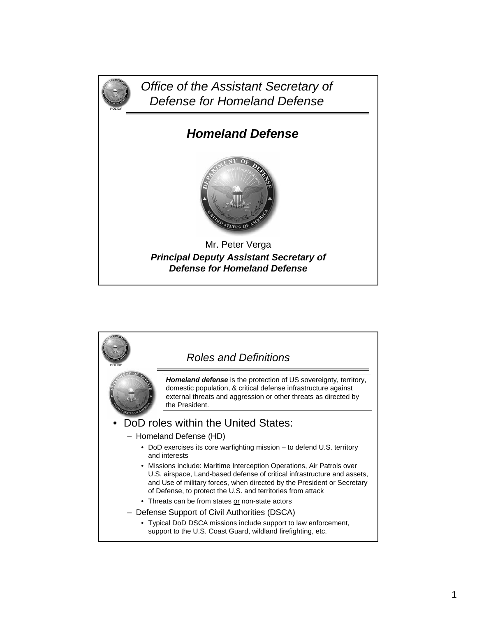

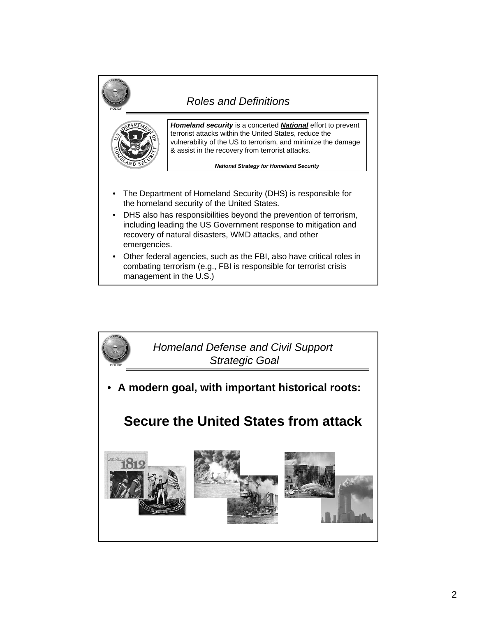

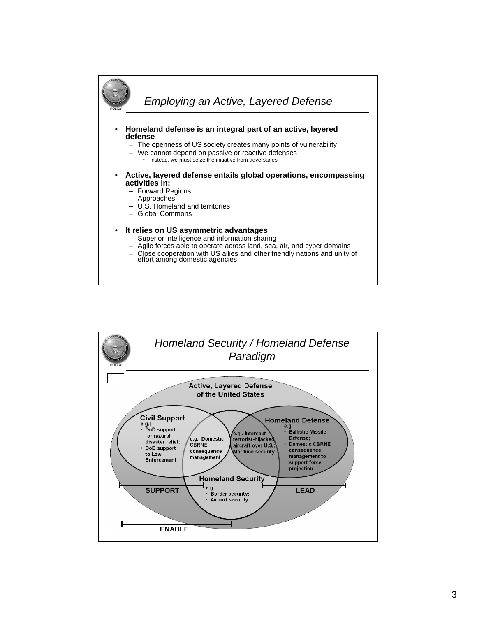

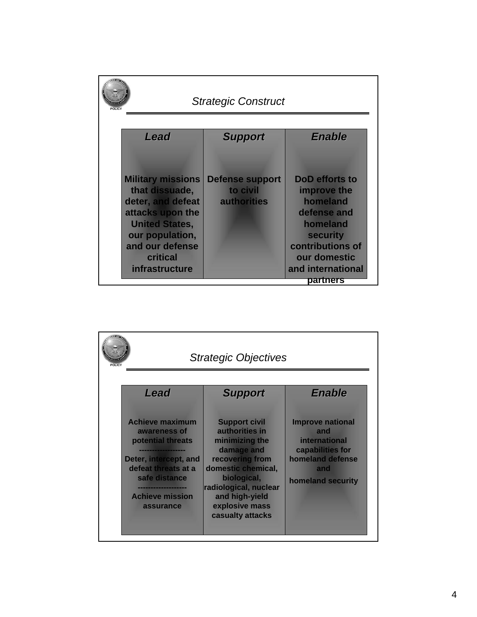| POLICY | <b>Strategic Construct</b>                                                                                                                                                       |                                                          |                                                                                                                                                              |  |
|--------|----------------------------------------------------------------------------------------------------------------------------------------------------------------------------------|----------------------------------------------------------|--------------------------------------------------------------------------------------------------------------------------------------------------------------|--|
|        | Lead                                                                                                                                                                             | <b>Support</b>                                           | <b>Enable</b>                                                                                                                                                |  |
|        | <b>Military missions</b><br>that dissuade,<br>deter, and defeat<br>attacks upon the<br><b>United States,</b><br>our population,<br>and our defense<br>critical<br>infrastructure | <b>Defense support</b><br>to civil<br><b>authorities</b> | <b>DoD</b> efforts to<br>improve the<br>homeland<br>defense and<br>homeland<br>security<br>contributions of<br>our domestic<br>and international<br>partners |  |

| <b>Strategic Objectives</b><br>POLICY                                                                                                                                                  |                                                                                                                                                                                                                 |                                                                                                                            |  |
|----------------------------------------------------------------------------------------------------------------------------------------------------------------------------------------|-----------------------------------------------------------------------------------------------------------------------------------------------------------------------------------------------------------------|----------------------------------------------------------------------------------------------------------------------------|--|
| Lead                                                                                                                                                                                   | <b>Support</b>                                                                                                                                                                                                  | <b>Enable</b>                                                                                                              |  |
| <b>Achieve maximum</b><br>awareness of<br>potential threats<br>Deter, intercept, and<br>defeat threats at a<br>safe distance<br>---------------<br><b>Achieve mission</b><br>assurance | <b>Support civil</b><br>authorities in<br>minimizing the<br>damage and<br>recovering from<br>domestic chemical,<br>biological,<br>radiological, nuclear<br>and high-yield<br>explosive mass<br>casualty attacks | <b>Improve national</b><br>and<br><b>international</b><br>capabilities for<br>homeland defense<br>and<br>homeland security |  |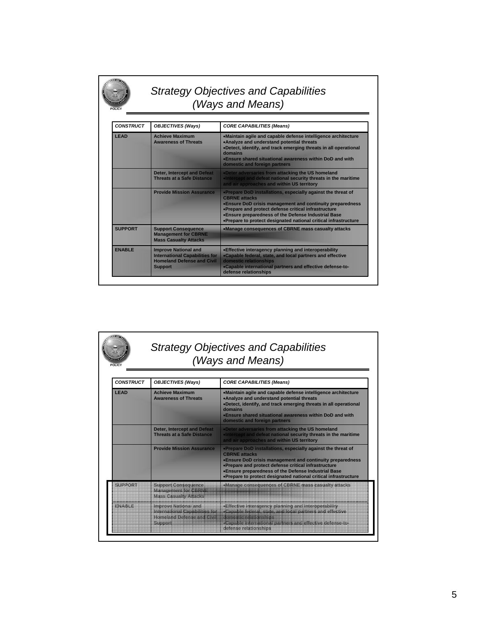| <b>Strategy Objectives and Capabilities</b> |  |
|---------------------------------------------|--|
| (Ways and Means)                            |  |

**POLICY**

| <b>CONSTRUCT</b> | <b>OBJECTIVES (Ways)</b>                                                                                                    | <b>CORE CAPABILITIES (Means)</b>                                                                                                                                                                                                                                                                                                      |
|------------------|-----------------------------------------------------------------------------------------------------------------------------|---------------------------------------------------------------------------------------------------------------------------------------------------------------------------------------------------------------------------------------------------------------------------------------------------------------------------------------|
| <b>I FAD</b>     | <b>Achieve Maximum</b><br><b>Awareness of Threats</b>                                                                       | .Maintain agile and capable defense intelligence architecture<br>. Analyze and understand potential threats<br>•Detect, identify, and track emerging threats in all operational<br>domains<br>. Ensure shared situational awareness within DoD and with<br>domestic and foreign partners                                              |
|                  | <b>Deter, Intercept and Defeat</b><br><b>Threats at a Safe Distance</b>                                                     | . Deter adversaries from attacking the US homeland<br>. Intercept and defeat national security threats in the maritime<br>and air approaches and within US territory                                                                                                                                                                  |
|                  | <b>Provide Mission Assurance</b>                                                                                            | • Prepare DoD installations, especially against the threat of<br><b>CBRNF</b> attacks<br>•Ensure DoD crisis management and continuity preparedness<br>•Prepare and protect defense critical infrastructure<br>. Ensure preparedness of the Defense Industrial Base<br>•Prepare to protect designated national critical infrastructure |
| <b>SUPPORT</b>   | <b>Support Consequence</b><br><b>Management for CBRNE</b><br><b>Mass Casualty Attacks</b>                                   | •Manage consequences of CBRNE mass casualty attacks                                                                                                                                                                                                                                                                                   |
| <b>FNARIF</b>    | <b>Improve National and</b><br><b>International Capabilities for</b><br><b>Homeland Defense and Civil</b><br><b>Support</b> | • Effective interagency planning and interoperability<br>.Capable federal, state, and local partners and effective<br>domestic relationships<br>•Capable international partners and effective defense-to-<br>defense relationships                                                                                                    |

| <b>CONSTRUCT</b> | <b>OBJECTIVES (Ways)</b>                                                                       | <b>CORE CAPABILITIES (Means)</b>                                                                                                                                                                                                                                                                                                      |
|------------------|------------------------------------------------------------------------------------------------|---------------------------------------------------------------------------------------------------------------------------------------------------------------------------------------------------------------------------------------------------------------------------------------------------------------------------------------|
| <b>I FAD</b>     | <b>Achieve Maximum</b><br><b>Awareness of Threats</b>                                          | •Maintain agile and capable defense intelligence architecture<br>•Analyze and understand potential threats<br>•Detect, identify, and track emerging threats in all operational<br>domains<br>. Ensure shared situational awareness within DoD and with<br>domestic and foreign partners                                               |
|                  | <b>Deter, Intercept and Defeat</b><br><b>Threats at a Safe Distance</b>                        | . Deter adversaries from attacking the US homeland<br>. Intercept and defeat national security threats in the maritime<br>and air approaches and within US territory                                                                                                                                                                  |
|                  | <b>Provide Mission Assurance</b>                                                               | . Prepare DoD installations, especially against the threat of<br><b>CBRNF</b> attacks<br>. Ensure DoD crisis management and continuity preparedness<br>•Prepare and protect defense critical infrastructure<br>•Ensure preparedness of the Defense Industrial Base<br>•Prepare to protect designated national critical infrastructure |
| SUPPORT          | <b>Support Consequence</b><br><b>Management for CBRN</b><br><b>Mass Casualty Attacks</b>       | »Manage consequences of CBRNE mass casualty attacks                                                                                                                                                                                                                                                                                   |
| <b>FNARIE</b>    | Improve National and<br>International Capabilities for<br>Homeland Defence and Chil<br>Support | »Effective interagency planning and interoperability<br>«Capable federal, state, and local partners and effective<br>«Capable international partners and effective defense-to-<br>defense relationships                                                                                                                               |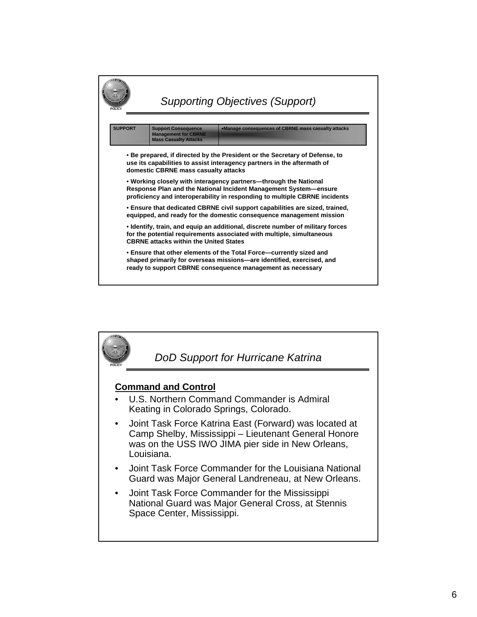

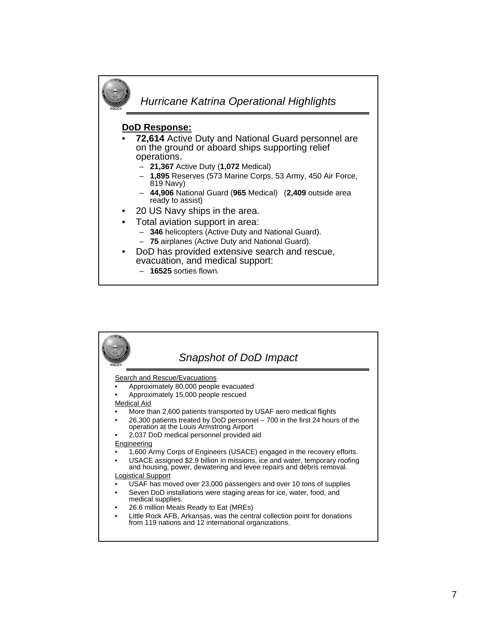

| POLICY | Snapshot of DoD Impact                                                                                                                             |
|--------|----------------------------------------------------------------------------------------------------------------------------------------------------|
|        | Search and Rescue/Evacuations                                                                                                                      |
|        | Approximately 80,000 people evacuated                                                                                                              |
|        | Approximately 15,000 people rescued                                                                                                                |
|        | <b>Medical Aid</b>                                                                                                                                 |
|        | More than 2,600 patients transported by USAF aero medical flights                                                                                  |
|        | 26,300 patients treated by DoD personnel – 700 in the first 24 hours of the<br>operation at the Louis Armstrong Airport                            |
|        | 2,037 DoD medical personnel provided aid                                                                                                           |
|        | Engineering                                                                                                                                        |
|        | 1,600 Army Corps of Engineers (USACE) engaged in the recovery efforts.                                                                             |
|        | USACE assigned \$2.9 billion in missions, ice and water, temporary roofing<br>and housing, power, dewatering and levee repairs and debris removal. |
|        | <b>Logistical Support</b>                                                                                                                          |
|        | USAF has moved over 23,000 passengers and over 10 tons of supplies                                                                                 |
|        | Seven DoD installations were staging areas for ice, water, food, and<br>medical supplies.                                                          |
| ٠      | 26.6 million Meals Ready to Eat (MREs)                                                                                                             |
|        | Little Rock AFB, Arkansas, was the central collection point for donations<br>from 119 nations and 12 international organizations.                  |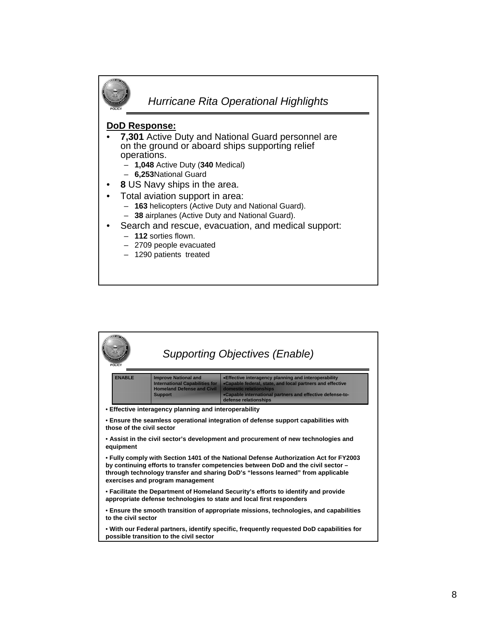

| <b>POLICY</b>                                                                                                                                                                                                                                                                                     |                                                                                                                                      | <b>Supporting Objectives (Enable)</b>                                                                                                                                                                                              |  |
|---------------------------------------------------------------------------------------------------------------------------------------------------------------------------------------------------------------------------------------------------------------------------------------------------|--------------------------------------------------------------------------------------------------------------------------------------|------------------------------------------------------------------------------------------------------------------------------------------------------------------------------------------------------------------------------------|--|
| <b>FNABI F</b>                                                                                                                                                                                                                                                                                    | <b>Improve National and</b><br><b>International Capabilities for</b><br><b>Homeland Defense and Civil</b><br><b>Support</b>          | • Effective interagency planning and interoperability<br>.Capable federal, state, and local partners and effective<br>domestic relationships<br>•Capable international partners and effective defense-to-<br>defense relationships |  |
|                                                                                                                                                                                                                                                                                                   | • Effective interagency planning and interoperability                                                                                |                                                                                                                                                                                                                                    |  |
| . Ensure the seamless operational integration of defense support capabilities with<br>those of the civil sector                                                                                                                                                                                   |                                                                                                                                      |                                                                                                                                                                                                                                    |  |
| • Assist in the civil sector's development and procurement of new technologies and<br>equipment                                                                                                                                                                                                   |                                                                                                                                      |                                                                                                                                                                                                                                    |  |
| • Fully comply with Section 1401 of the National Defense Authorization Act for FY2003<br>by continuing efforts to transfer competencies between DoD and the civil sector -<br>through technology transfer and sharing DoD's "lessons learned" from applicable<br>exercises and program management |                                                                                                                                      |                                                                                                                                                                                                                                    |  |
| • Facilitate the Department of Homeland Security's efforts to identify and provide<br>appropriate defense technologies to state and local first responders                                                                                                                                        |                                                                                                                                      |                                                                                                                                                                                                                                    |  |
| • Ensure the smooth transition of appropriate missions, technologies, and capabilities<br>to the civil sector                                                                                                                                                                                     |                                                                                                                                      |                                                                                                                                                                                                                                    |  |
|                                                                                                                                                                                                                                                                                                   | . With our Federal partners, identify specific, frequently requested DoD capabilities for<br>possible transition to the civil sector |                                                                                                                                                                                                                                    |  |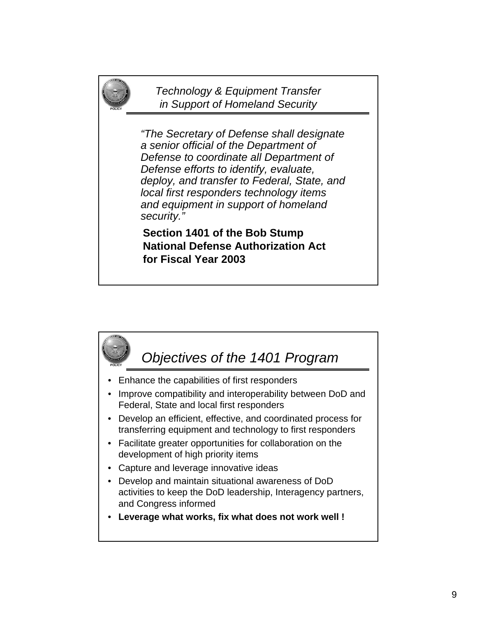*Technology & Equipment Transfer in Support of Homeland Security*

**POLICY**

*"The Secretary of Defense shall designate a senior official of the Department of Defense to coordinate all Department of Defense efforts to identify, evaluate, deploy, and transfer to Federal, State, and local first responders technology items and equipment in support of homeland security."*

**Section 1401 of the Bob Stump National Defense Authorization Act for Fiscal Year 2003**

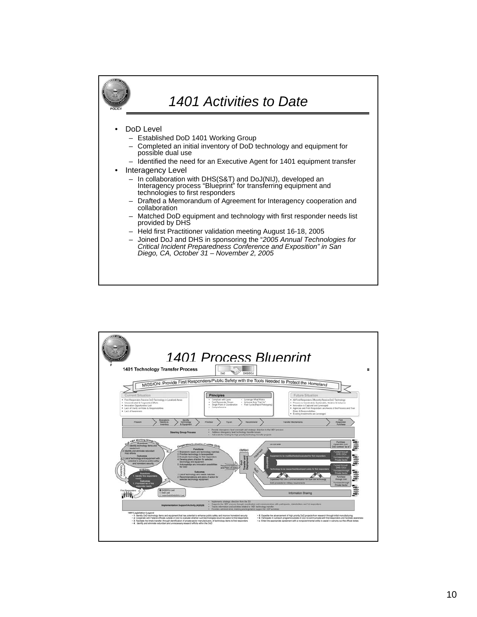

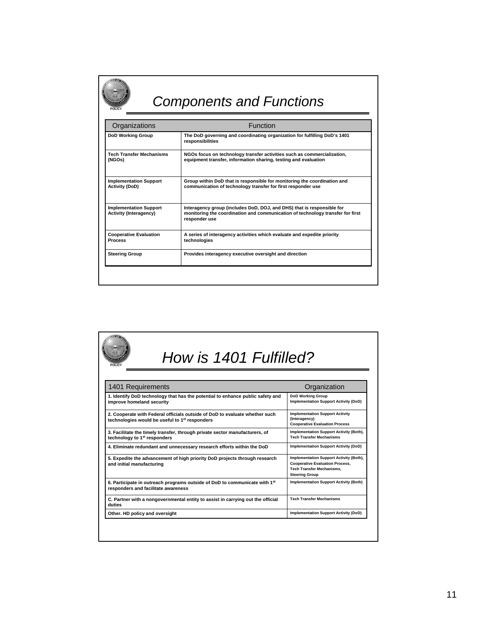## *Components and Functions*

**POLICY**

| Organizations                                                  | Function                                                                                                                                                                  |  |
|----------------------------------------------------------------|---------------------------------------------------------------------------------------------------------------------------------------------------------------------------|--|
| <b>DoD Working Group</b>                                       | The DoD governing and coordinating organization for fulfilling DoD's 1401<br>responsibilities                                                                             |  |
| <b>Tech Transfer Mechanisms</b><br>(NGOs)                      | NGOs focus on technology transfer activities such as commercialization,<br>equipment transfer, information sharing, testing and evaluation                                |  |
| <b>Implementation Support</b><br><b>Activity (DoD)</b>         | Group within DoD that is responsible for monitoring the coordination and<br>communication of technology transfer for first responder use                                  |  |
| <b>Implementation Support</b><br><b>Activity (Interagency)</b> | Interagency group (includes DoD, DOJ, and DHS) that is responsible for<br>monitoring the coordination and communication of technology transfer for first<br>responder use |  |
| <b>Cooperative Evaluation</b><br><b>Process</b>                | A series of interagency activities which evaluate and expedite priority<br>technologies                                                                                   |  |
| <b>Steering Group</b>                                          | Provides interagency executive oversight and direction                                                                                                                    |  |

| How is 1401 Fulfilled?<br>POLICY                                                                                                          |                                                                                                                                                |  |
|-------------------------------------------------------------------------------------------------------------------------------------------|------------------------------------------------------------------------------------------------------------------------------------------------|--|
| 1401 Requirements                                                                                                                         | Organization                                                                                                                                   |  |
| 1. Identify DoD technology that has the potential to enhance public safety and<br>improve homeland security                               | <b>DoD Working Group</b><br><b>Implementation Support Activity (DoD)</b>                                                                       |  |
| 2. Cooperate with Federal officials outside of DoD to evaluate whether such<br>technologies would be useful to 1 <sup>st</sup> responders | <b>Implementation Support Activity</b><br>(Interagency)<br><b>Cooperative Evaluation Process</b>                                               |  |
| 3. Facilitate the timely transfer, through private sector manufacturers, of<br>technology to 1 <sup>st</sup> responders                   | Implementation Support Activity (Both),<br><b>Tech Transfer Mechanisms</b>                                                                     |  |
| 4. Eliminate redundant and unnecessary research efforts within the DoD                                                                    | <b>Implementation Support Activity (DoD)</b>                                                                                                   |  |
| 5. Expedite the advancement of high priority DoD projects through research<br>and initial manufacturing                                   | Implementation Support Activity (Both),<br><b>Cooperative Evaluation Process,</b><br><b>Tech Transfer Mechanisms.</b><br><b>Steering Group</b> |  |
| 6. Participate in outreach programs outside of DoD to communicate with 1 <sup>st</sup><br>responders and facilitate awareness             | <b>Implementation Support Activity (Both)</b>                                                                                                  |  |
| C. Partner with a nongovernmental entity to assist in carrying out the official<br>duties                                                 | <b>Tech Transfer Mechanisms</b>                                                                                                                |  |
| Other. HD policy and oversight                                                                                                            | <b>Implementation Support Activity (DoD)</b>                                                                                                   |  |